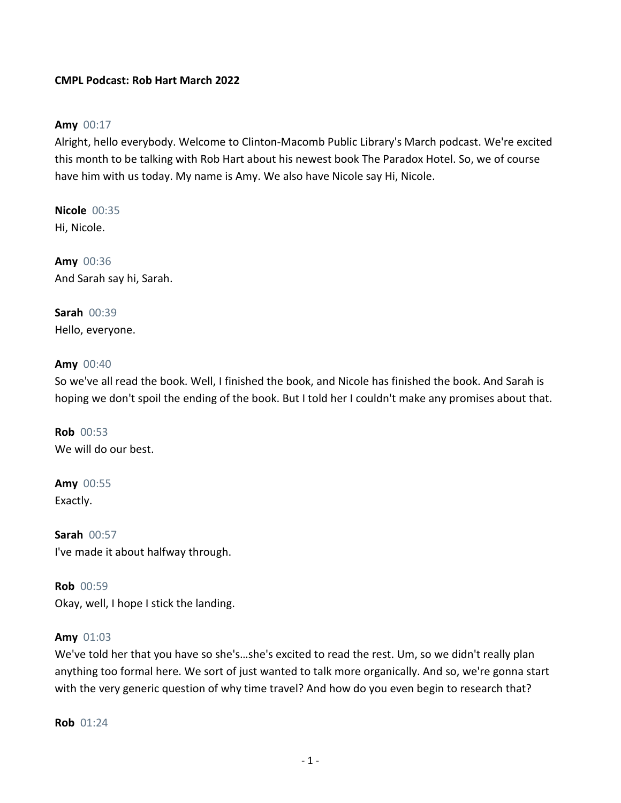# **CMPL Podcast: Rob Hart March 2022**

#### **Amy** 00:17

Alright, hello everybody. Welcome to Clinton-Macomb Public Library's March podcast. We're excited this month to be talking with Rob Hart about his newest book The Paradox Hotel. So, we of course have him with us today. My name is Amy. We also have Nicole say Hi, Nicole.

**Nicole** 00:35 Hi, Nicole.

**Amy** 00:36 And Sarah say hi, Sarah.

**Sarah** 00:39 Hello, everyone.

#### **Amy** 00:40

So we've all read the book. Well, I finished the book, and Nicole has finished the book. And Sarah is hoping we don't spoil the ending of the book. But I told her I couldn't make any promises about that.

**Rob** 00:53 We will do our best.

**Amy** 00:55 Exactly.

**Sarah** 00:57 I've made it about halfway through.

**Rob** 00:59 Okay, well, I hope I stick the landing.

#### **Amy** 01:03

We've told her that you have so she's…she's excited to read the rest. Um, so we didn't really plan anything too formal here. We sort of just wanted to talk more organically. And so, we're gonna start with the very generic question of why time travel? And how do you even begin to research that?

**Rob** 01:24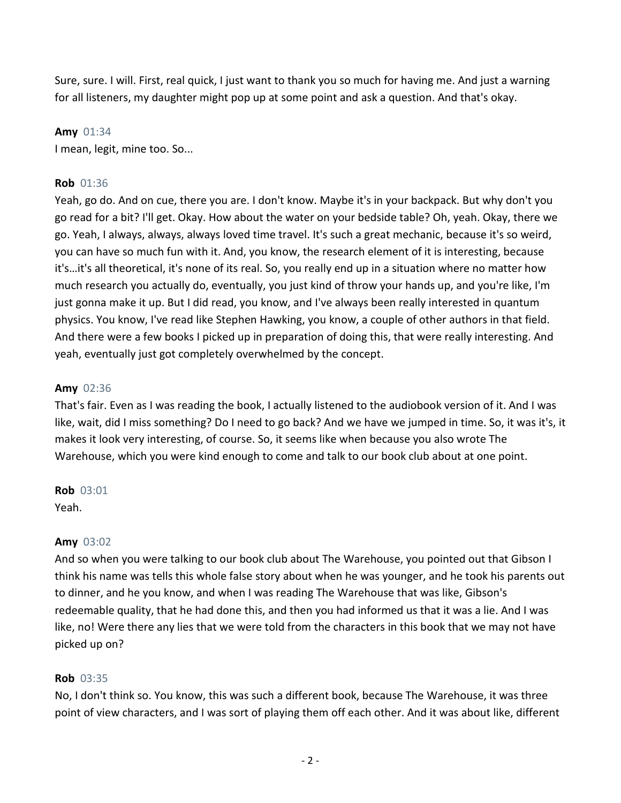Sure, sure. I will. First, real quick, I just want to thank you so much for having me. And just a warning for all listeners, my daughter might pop up at some point and ask a question. And that's okay.

#### **Amy** 01:34

I mean, legit, mine too. So...

## **Rob** 01:36

Yeah, go do. And on cue, there you are. I don't know. Maybe it's in your backpack. But why don't you go read for a bit? I'll get. Okay. How about the water on your bedside table? Oh, yeah. Okay, there we go. Yeah, I always, always, always loved time travel. It's such a great mechanic, because it's so weird, you can have so much fun with it. And, you know, the research element of it is interesting, because it's…it's all theoretical, it's none of its real. So, you really end up in a situation where no matter how much research you actually do, eventually, you just kind of throw your hands up, and you're like, I'm just gonna make it up. But I did read, you know, and I've always been really interested in quantum physics. You know, I've read like Stephen Hawking, you know, a couple of other authors in that field. And there were a few books I picked up in preparation of doing this, that were really interesting. And yeah, eventually just got completely overwhelmed by the concept.

#### **Amy** 02:36

That's fair. Even as I was reading the book, I actually listened to the audiobook version of it. And I was like, wait, did I miss something? Do I need to go back? And we have we jumped in time. So, it was it's, it makes it look very interesting, of course. So, it seems like when because you also wrote The Warehouse, which you were kind enough to come and talk to our book club about at one point.

# **Rob** 03:01

Yeah.

#### **Amy** 03:02

And so when you were talking to our book club about The Warehouse, you pointed out that Gibson I think his name was tells this whole false story about when he was younger, and he took his parents out to dinner, and he you know, and when I was reading The Warehouse that was like, Gibson's redeemable quality, that he had done this, and then you had informed us that it was a lie. And I was like, no! Were there any lies that we were told from the characters in this book that we may not have picked up on?

#### **Rob** 03:35

No, I don't think so. You know, this was such a different book, because The Warehouse, it was three point of view characters, and I was sort of playing them off each other. And it was about like, different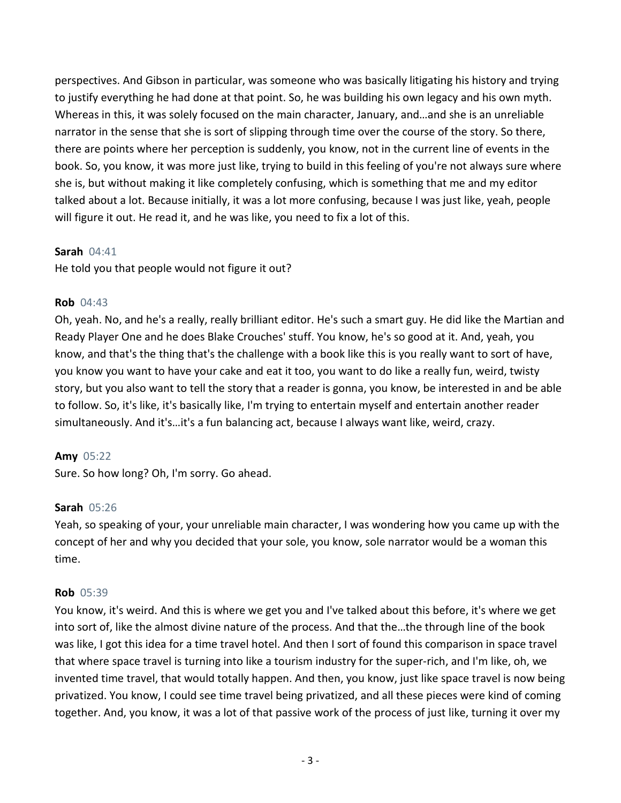perspectives. And Gibson in particular, was someone who was basically litigating his history and trying to justify everything he had done at that point. So, he was building his own legacy and his own myth. Whereas in this, it was solely focused on the main character, January, and…and she is an unreliable narrator in the sense that she is sort of slipping through time over the course of the story. So there, there are points where her perception is suddenly, you know, not in the current line of events in the book. So, you know, it was more just like, trying to build in this feeling of you're not always sure where she is, but without making it like completely confusing, which is something that me and my editor talked about a lot. Because initially, it was a lot more confusing, because I was just like, yeah, people will figure it out. He read it, and he was like, you need to fix a lot of this.

# **Sarah** 04:41

He told you that people would not figure it out?

#### **Rob** 04:43

Oh, yeah. No, and he's a really, really brilliant editor. He's such a smart guy. He did like the Martian and Ready Player One and he does Blake Crouches' stuff. You know, he's so good at it. And, yeah, you know, and that's the thing that's the challenge with a book like this is you really want to sort of have, you know you want to have your cake and eat it too, you want to do like a really fun, weird, twisty story, but you also want to tell the story that a reader is gonna, you know, be interested in and be able to follow. So, it's like, it's basically like, I'm trying to entertain myself and entertain another reader simultaneously. And it's…it's a fun balancing act, because I always want like, weird, crazy.

# **Amy** 05:22

Sure. So how long? Oh, I'm sorry. Go ahead.

#### **Sarah** 05:26

Yeah, so speaking of your, your unreliable main character, I was wondering how you came up with the concept of her and why you decided that your sole, you know, sole narrator would be a woman this time.

#### **Rob** 05:39

You know, it's weird. And this is where we get you and I've talked about this before, it's where we get into sort of, like the almost divine nature of the process. And that the…the through line of the book was like, I got this idea for a time travel hotel. And then I sort of found this comparison in space travel that where space travel is turning into like a tourism industry for the super-rich, and I'm like, oh, we invented time travel, that would totally happen. And then, you know, just like space travel is now being privatized. You know, I could see time travel being privatized, and all these pieces were kind of coming together. And, you know, it was a lot of that passive work of the process of just like, turning it over my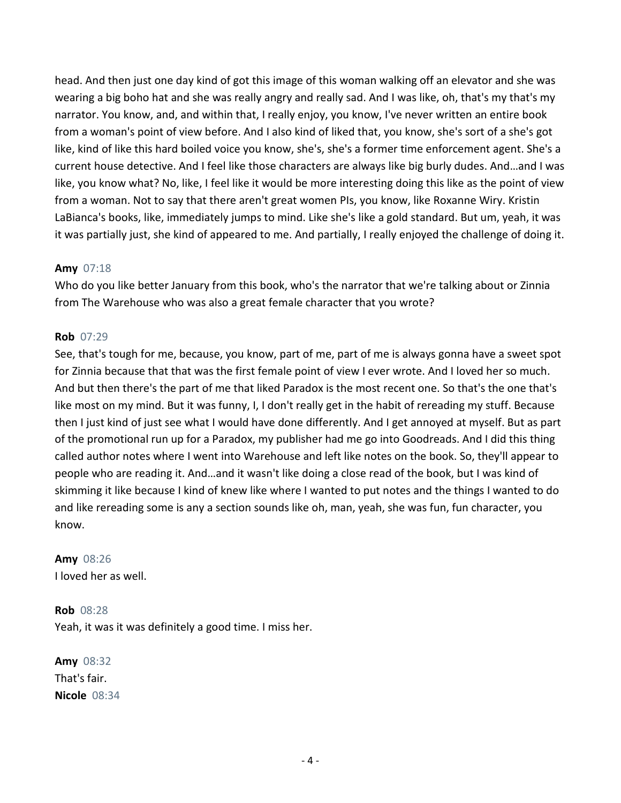head. And then just one day kind of got this image of this woman walking off an elevator and she was wearing a big boho hat and she was really angry and really sad. And I was like, oh, that's my that's my narrator. You know, and, and within that, I really enjoy, you know, I've never written an entire book from a woman's point of view before. And I also kind of liked that, you know, she's sort of a she's got like, kind of like this hard boiled voice you know, she's, she's a former time enforcement agent. She's a current house detective. And I feel like those characters are always like big burly dudes. And…and I was like, you know what? No, like, I feel like it would be more interesting doing this like as the point of view from a woman. Not to say that there aren't great women PIs, you know, like Roxanne Wiry. Kristin LaBianca's books, like, immediately jumps to mind. Like she's like a gold standard. But um, yeah, it was it was partially just, she kind of appeared to me. And partially, I really enjoyed the challenge of doing it.

# **Amy** 07:18

Who do you like better January from this book, who's the narrator that we're talking about or Zinnia from The Warehouse who was also a great female character that you wrote?

# **Rob** 07:29

See, that's tough for me, because, you know, part of me, part of me is always gonna have a sweet spot for Zinnia because that that was the first female point of view I ever wrote. And I loved her so much. And but then there's the part of me that liked Paradox is the most recent one. So that's the one that's like most on my mind. But it was funny, I, I don't really get in the habit of rereading my stuff. Because then I just kind of just see what I would have done differently. And I get annoyed at myself. But as part of the promotional run up for a Paradox, my publisher had me go into Goodreads. And I did this thing called author notes where I went into Warehouse and left like notes on the book. So, they'll appear to people who are reading it. And…and it wasn't like doing a close read of the book, but I was kind of skimming it like because I kind of knew like where I wanted to put notes and the things I wanted to do and like rereading some is any a section sounds like oh, man, yeah, she was fun, fun character, you know.

**Amy** 08:26 I loved her as well.

**Rob** 08:28 Yeah, it was it was definitely a good time. I miss her.

**Amy** 08:32 That's fair. **Nicole** 08:34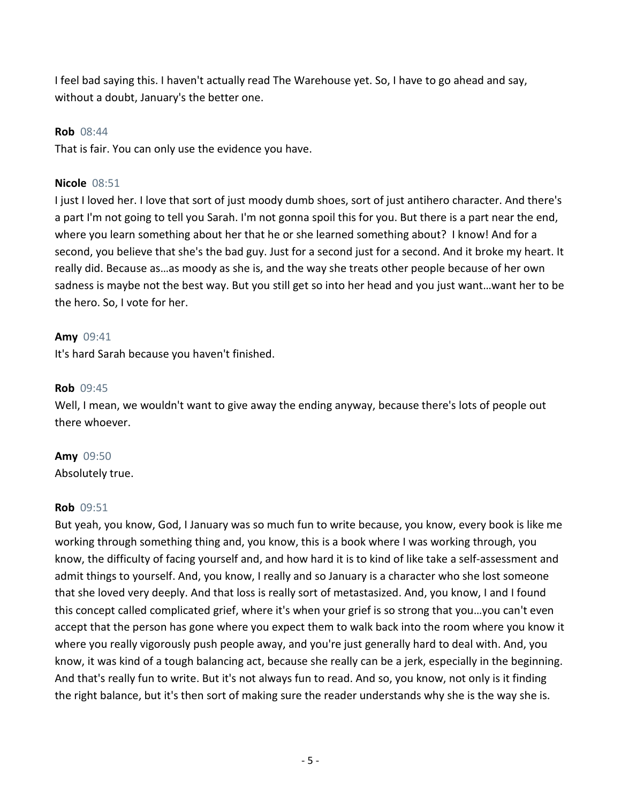I feel bad saying this. I haven't actually read The Warehouse yet. So, I have to go ahead and say, without a doubt, January's the better one.

#### **Rob** 08:44

That is fair. You can only use the evidence you have.

#### **Nicole** 08:51

I just I loved her. I love that sort of just moody dumb shoes, sort of just antihero character. And there's a part I'm not going to tell you Sarah. I'm not gonna spoil this for you. But there is a part near the end, where you learn something about her that he or she learned something about? I know! And for a second, you believe that she's the bad guy. Just for a second just for a second. And it broke my heart. It really did. Because as…as moody as she is, and the way she treats other people because of her own sadness is maybe not the best way. But you still get so into her head and you just want…want her to be the hero. So, I vote for her.

#### **Amy** 09:41

It's hard Sarah because you haven't finished.

#### **Rob** 09:45

Well, I mean, we wouldn't want to give away the ending anyway, because there's lots of people out there whoever.

#### **Amy** 09:50

Absolutely true.

#### **Rob** 09:51

But yeah, you know, God, I January was so much fun to write because, you know, every book is like me working through something thing and, you know, this is a book where I was working through, you know, the difficulty of facing yourself and, and how hard it is to kind of like take a self-assessment and admit things to yourself. And, you know, I really and so January is a character who she lost someone that she loved very deeply. And that loss is really sort of metastasized. And, you know, I and I found this concept called complicated grief, where it's when your grief is so strong that you…you can't even accept that the person has gone where you expect them to walk back into the room where you know it where you really vigorously push people away, and you're just generally hard to deal with. And, you know, it was kind of a tough balancing act, because she really can be a jerk, especially in the beginning. And that's really fun to write. But it's not always fun to read. And so, you know, not only is it finding the right balance, but it's then sort of making sure the reader understands why she is the way she is.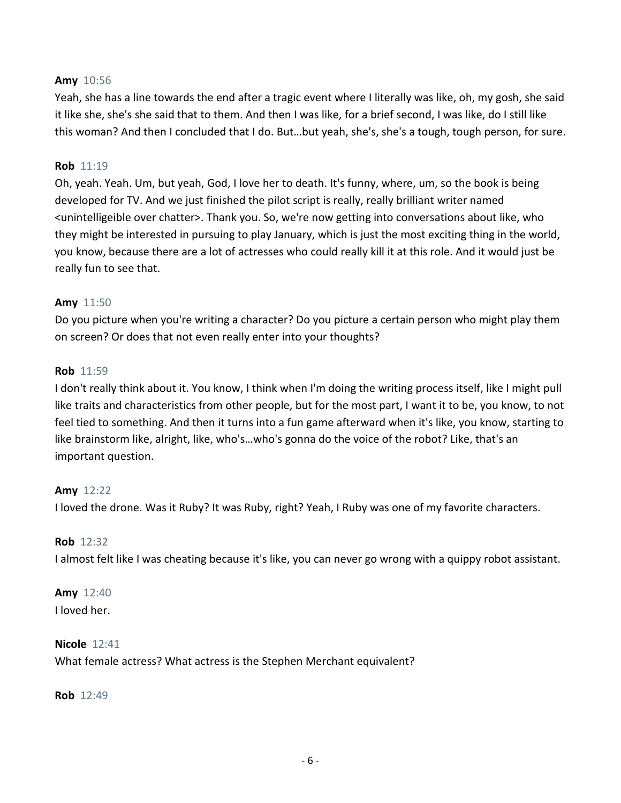### **Amy** 10:56

Yeah, she has a line towards the end after a tragic event where I literally was like, oh, my gosh, she said it like she, she's she said that to them. And then I was like, for a brief second, I was like, do I still like this woman? And then I concluded that I do. But…but yeah, she's, she's a tough, tough person, for sure.

#### **Rob** 11:19

Oh, yeah. Yeah. Um, but yeah, God, I love her to death. It's funny, where, um, so the book is being developed for TV. And we just finished the pilot script is really, really brilliant writer named <unintelligeible over chatter>. Thank you. So, we're now getting into conversations about like, who they might be interested in pursuing to play January, which is just the most exciting thing in the world, you know, because there are a lot of actresses who could really kill it at this role. And it would just be really fun to see that.

#### **Amy** 11:50

Do you picture when you're writing a character? Do you picture a certain person who might play them on screen? Or does that not even really enter into your thoughts?

#### **Rob** 11:59

I don't really think about it. You know, I think when I'm doing the writing process itself, like I might pull like traits and characteristics from other people, but for the most part, I want it to be, you know, to not feel tied to something. And then it turns into a fun game afterward when it's like, you know, starting to like brainstorm like, alright, like, who's…who's gonna do the voice of the robot? Like, that's an important question.

#### **Amy** 12:22

I loved the drone. Was it Ruby? It was Ruby, right? Yeah, I Ruby was one of my favorite characters.

#### **Rob** 12:32

I almost felt like I was cheating because it's like, you can never go wrong with a quippy robot assistant.

#### **Amy** 12:40

I loved her.

#### **Nicole** 12:41

What female actress? What actress is the Stephen Merchant equivalent?

**Rob** 12:49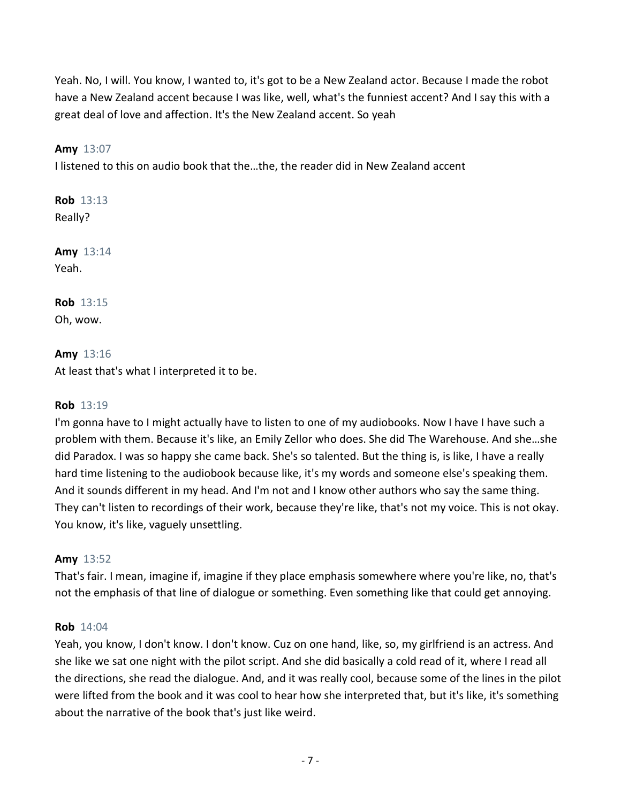Yeah. No, I will. You know, I wanted to, it's got to be a New Zealand actor. Because I made the robot have a New Zealand accent because I was like, well, what's the funniest accent? And I say this with a great deal of love and affection. It's the New Zealand accent. So yeah

# **Amy** 13:07

I listened to this on audio book that the…the, the reader did in New Zealand accent

**Rob** 13:13 Really?

**Amy** 13:14 Yeah.

**Rob** 13:15 Oh, wow.

**Amy** 13:16 At least that's what I interpreted it to be.

# **Rob** 13:19

I'm gonna have to I might actually have to listen to one of my audiobooks. Now I have I have such a problem with them. Because it's like, an Emily Zellor who does. She did The Warehouse. And she…she did Paradox. I was so happy she came back. She's so talented. But the thing is, is like, I have a really hard time listening to the audiobook because like, it's my words and someone else's speaking them. And it sounds different in my head. And I'm not and I know other authors who say the same thing. They can't listen to recordings of their work, because they're like, that's not my voice. This is not okay. You know, it's like, vaguely unsettling.

# **Amy** 13:52

That's fair. I mean, imagine if, imagine if they place emphasis somewhere where you're like, no, that's not the emphasis of that line of dialogue or something. Even something like that could get annoying.

# **Rob** 14:04

Yeah, you know, I don't know. I don't know. Cuz on one hand, like, so, my girlfriend is an actress. And she like we sat one night with the pilot script. And she did basically a cold read of it, where I read all the directions, she read the dialogue. And, and it was really cool, because some of the lines in the pilot were lifted from the book and it was cool to hear how she interpreted that, but it's like, it's something about the narrative of the book that's just like weird.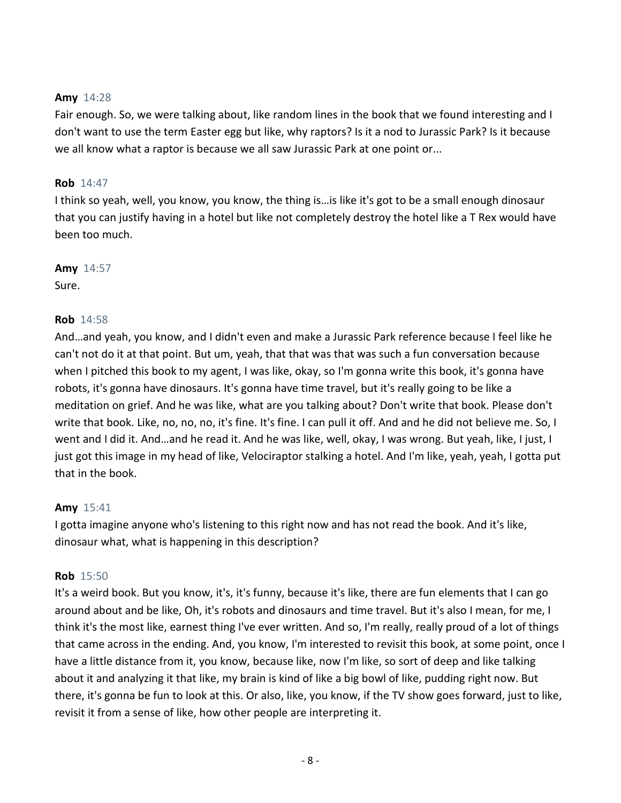## **Amy** 14:28

Fair enough. So, we were talking about, like random lines in the book that we found interesting and I don't want to use the term Easter egg but like, why raptors? Is it a nod to Jurassic Park? Is it because we all know what a raptor is because we all saw Jurassic Park at one point or...

# **Rob** 14:47

I think so yeah, well, you know, you know, the thing is…is like it's got to be a small enough dinosaur that you can justify having in a hotel but like not completely destroy the hotel like a T Rex would have been too much.

# **Amy** 14:57

Sure.

# **Rob** 14:58

And…and yeah, you know, and I didn't even and make a Jurassic Park reference because I feel like he can't not do it at that point. But um, yeah, that that was that was such a fun conversation because when I pitched this book to my agent, I was like, okay, so I'm gonna write this book, it's gonna have robots, it's gonna have dinosaurs. It's gonna have time travel, but it's really going to be like a meditation on grief. And he was like, what are you talking about? Don't write that book. Please don't write that book. Like, no, no, no, it's fine. It's fine. I can pull it off. And and he did not believe me. So, I went and I did it. And…and he read it. And he was like, well, okay, I was wrong. But yeah, like, I just, I just got this image in my head of like, Velociraptor stalking a hotel. And I'm like, yeah, yeah, I gotta put that in the book.

# **Amy** 15:41

I gotta imagine anyone who's listening to this right now and has not read the book. And it's like, dinosaur what, what is happening in this description?

#### **Rob** 15:50

It's a weird book. But you know, it's, it's funny, because it's like, there are fun elements that I can go around about and be like, Oh, it's robots and dinosaurs and time travel. But it's also I mean, for me, I think it's the most like, earnest thing I've ever written. And so, I'm really, really proud of a lot of things that came across in the ending. And, you know, I'm interested to revisit this book, at some point, once I have a little distance from it, you know, because like, now I'm like, so sort of deep and like talking about it and analyzing it that like, my brain is kind of like a big bowl of like, pudding right now. But there, it's gonna be fun to look at this. Or also, like, you know, if the TV show goes forward, just to like, revisit it from a sense of like, how other people are interpreting it.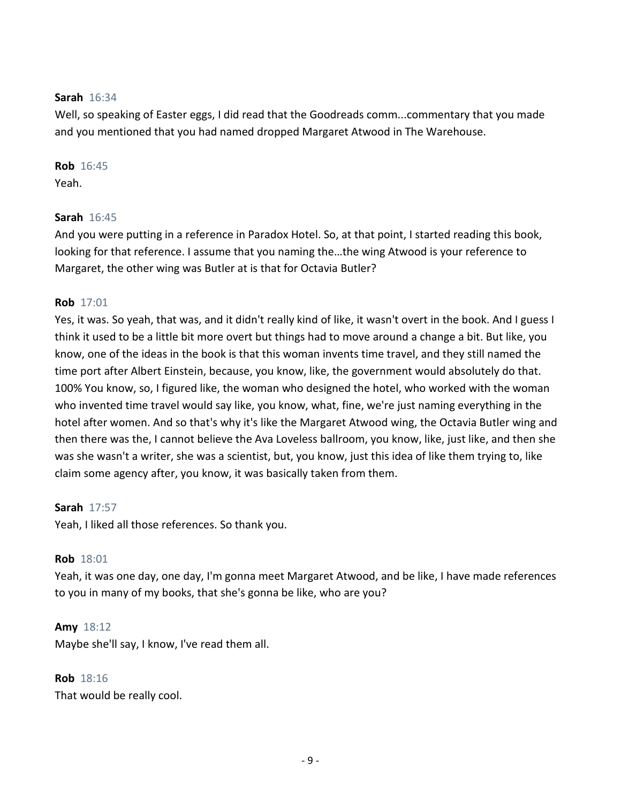## **Sarah** 16:34

Well, so speaking of Easter eggs, I did read that the Goodreads comm...commentary that you made and you mentioned that you had named dropped Margaret Atwood in The Warehouse.

# **Rob** 16:45

Yeah.

# **Sarah** 16:45

And you were putting in a reference in Paradox Hotel. So, at that point, I started reading this book, looking for that reference. I assume that you naming the…the wing Atwood is your reference to Margaret, the other wing was Butler at is that for Octavia Butler?

# **Rob** 17:01

Yes, it was. So yeah, that was, and it didn't really kind of like, it wasn't overt in the book. And I guess I think it used to be a little bit more overt but things had to move around a change a bit. But like, you know, one of the ideas in the book is that this woman invents time travel, and they still named the time port after Albert Einstein, because, you know, like, the government would absolutely do that. 100% You know, so, I figured like, the woman who designed the hotel, who worked with the woman who invented time travel would say like, you know, what, fine, we're just naming everything in the hotel after women. And so that's why it's like the Margaret Atwood wing, the Octavia Butler wing and then there was the, I cannot believe the Ava Loveless ballroom, you know, like, just like, and then she was she wasn't a writer, she was a scientist, but, you know, just this idea of like them trying to, like claim some agency after, you know, it was basically taken from them.

# **Sarah** 17:57

Yeah, I liked all those references. So thank you.

# **Rob** 18:01

Yeah, it was one day, one day, I'm gonna meet Margaret Atwood, and be like, I have made references to you in many of my books, that she's gonna be like, who are you?

# **Amy** 18:12

Maybe she'll say, I know, I've read them all.

# **Rob** 18:16

That would be really cool.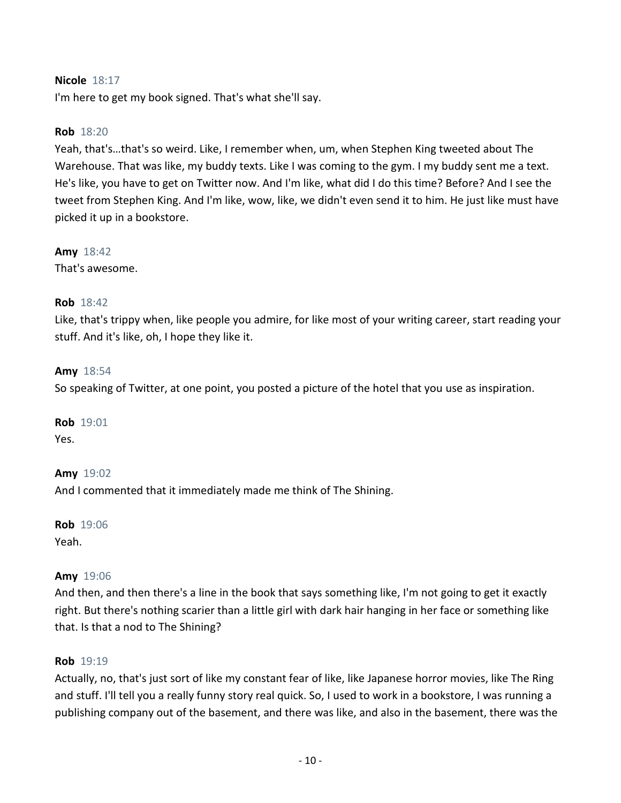# **Nicole** 18:17

I'm here to get my book signed. That's what she'll say.

#### **Rob** 18:20

Yeah, that's…that's so weird. Like, I remember when, um, when Stephen King tweeted about The Warehouse. That was like, my buddy texts. Like I was coming to the gym. I my buddy sent me a text. He's like, you have to get on Twitter now. And I'm like, what did I do this time? Before? And I see the tweet from Stephen King. And I'm like, wow, like, we didn't even send it to him. He just like must have picked it up in a bookstore.

**Amy** 18:42

That's awesome.

#### **Rob** 18:42

Like, that's trippy when, like people you admire, for like most of your writing career, start reading your stuff. And it's like, oh, I hope they like it.

#### **Amy** 18:54

So speaking of Twitter, at one point, you posted a picture of the hotel that you use as inspiration.

**Rob** 19:01 Yes.

**Amy** 19:02 And I commented that it immediately made me think of The Shining.

**Rob** 19:06 Yeah.

#### **Amy** 19:06

And then, and then there's a line in the book that says something like, I'm not going to get it exactly right. But there's nothing scarier than a little girl with dark hair hanging in her face or something like that. Is that a nod to The Shining?

#### **Rob** 19:19

Actually, no, that's just sort of like my constant fear of like, like Japanese horror movies, like The Ring and stuff. I'll tell you a really funny story real quick. So, I used to work in a bookstore, I was running a publishing company out of the basement, and there was like, and also in the basement, there was the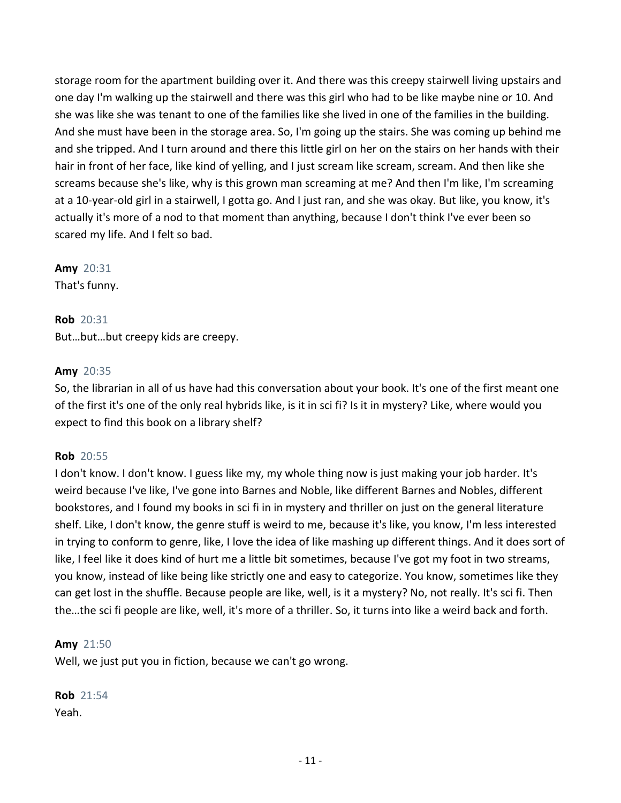storage room for the apartment building over it. And there was this creepy stairwell living upstairs and one day I'm walking up the stairwell and there was this girl who had to be like maybe nine or 10. And she was like she was tenant to one of the families like she lived in one of the families in the building. And she must have been in the storage area. So, I'm going up the stairs. She was coming up behind me and she tripped. And I turn around and there this little girl on her on the stairs on her hands with their hair in front of her face, like kind of yelling, and I just scream like scream, scream. And then like she screams because she's like, why is this grown man screaming at me? And then I'm like, I'm screaming at a 10-year-old girl in a stairwell, I gotta go. And I just ran, and she was okay. But like, you know, it's actually it's more of a nod to that moment than anything, because I don't think I've ever been so scared my life. And I felt so bad.

**Amy** 20:31

That's funny.

**Rob** 20:31 But…but…but creepy kids are creepy.

# **Amy** 20:35

So, the librarian in all of us have had this conversation about your book. It's one of the first meant one of the first it's one of the only real hybrids like, is it in sci fi? Is it in mystery? Like, where would you expect to find this book on a library shelf?

# **Rob** 20:55

I don't know. I don't know. I guess like my, my whole thing now is just making your job harder. It's weird because I've like, I've gone into Barnes and Noble, like different Barnes and Nobles, different bookstores, and I found my books in sci fi in in mystery and thriller on just on the general literature shelf. Like, I don't know, the genre stuff is weird to me, because it's like, you know, I'm less interested in trying to conform to genre, like, I love the idea of like mashing up different things. And it does sort of like, I feel like it does kind of hurt me a little bit sometimes, because I've got my foot in two streams, you know, instead of like being like strictly one and easy to categorize. You know, sometimes like they can get lost in the shuffle. Because people are like, well, is it a mystery? No, not really. It's sci fi. Then the…the sci fi people are like, well, it's more of a thriller. So, it turns into like a weird back and forth.

#### **Amy** 21:50

Well, we just put you in fiction, because we can't go wrong.

**Rob** 21:54 Yeah.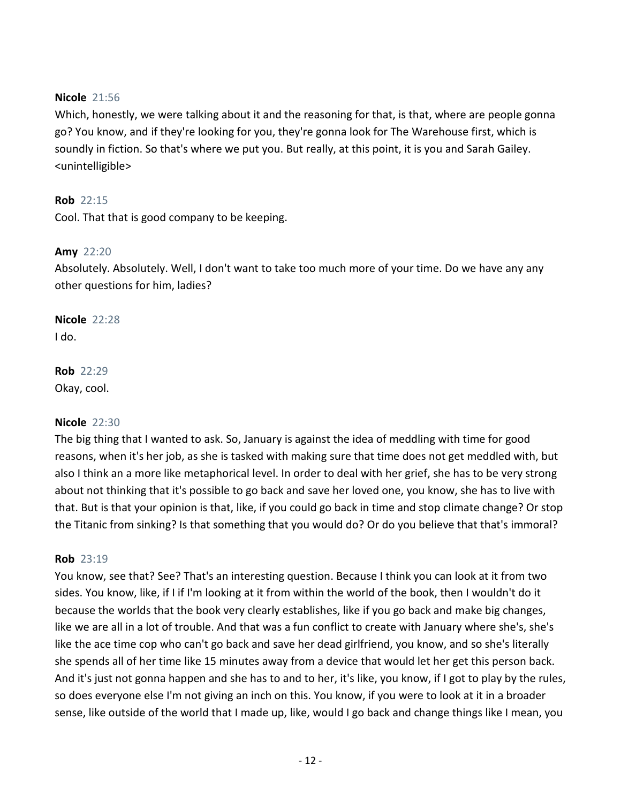# **Nicole** 21:56

Which, honestly, we were talking about it and the reasoning for that, is that, where are people gonna go? You know, and if they're looking for you, they're gonna look for The Warehouse first, which is soundly in fiction. So that's where we put you. But really, at this point, it is you and Sarah Gailey. <unintelligible>

# **Rob** 22:15

Cool. That that is good company to be keeping.

# **Amy** 22:20

Absolutely. Absolutely. Well, I don't want to take too much more of your time. Do we have any any other questions for him, ladies?

**Nicole** 22:28 I do.

**Rob** 22:29 Okay, cool.

#### **Nicole** 22:30

The big thing that I wanted to ask. So, January is against the idea of meddling with time for good reasons, when it's her job, as she is tasked with making sure that time does not get meddled with, but also I think an a more like metaphorical level. In order to deal with her grief, she has to be very strong about not thinking that it's possible to go back and save her loved one, you know, she has to live with that. But is that your opinion is that, like, if you could go back in time and stop climate change? Or stop the Titanic from sinking? Is that something that you would do? Or do you believe that that's immoral?

#### **Rob** 23:19

You know, see that? See? That's an interesting question. Because I think you can look at it from two sides. You know, like, if I if I'm looking at it from within the world of the book, then I wouldn't do it because the worlds that the book very clearly establishes, like if you go back and make big changes, like we are all in a lot of trouble. And that was a fun conflict to create with January where she's, she's like the ace time cop who can't go back and save her dead girlfriend, you know, and so she's literally she spends all of her time like 15 minutes away from a device that would let her get this person back. And it's just not gonna happen and she has to and to her, it's like, you know, if I got to play by the rules, so does everyone else I'm not giving an inch on this. You know, if you were to look at it in a broader sense, like outside of the world that I made up, like, would I go back and change things like I mean, you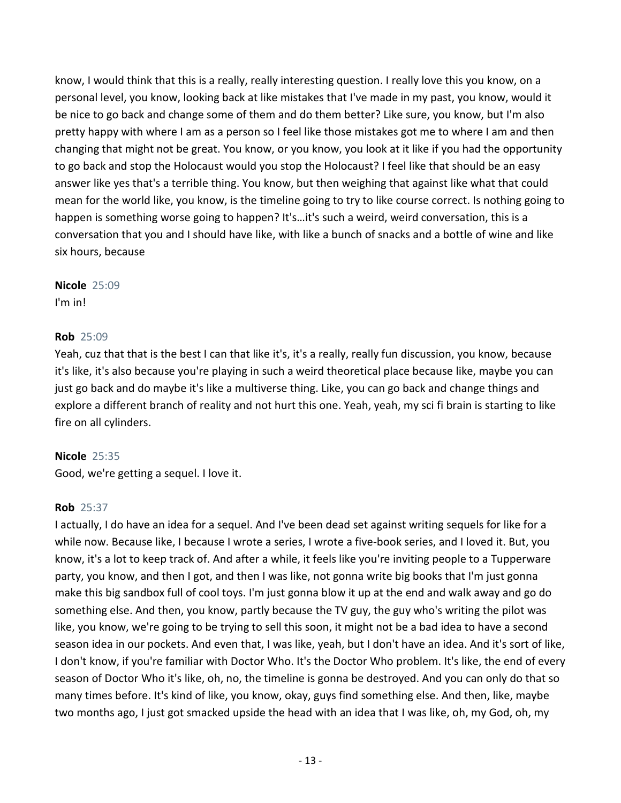know, I would think that this is a really, really interesting question. I really love this you know, on a personal level, you know, looking back at like mistakes that I've made in my past, you know, would it be nice to go back and change some of them and do them better? Like sure, you know, but I'm also pretty happy with where I am as a person so I feel like those mistakes got me to where I am and then changing that might not be great. You know, or you know, you look at it like if you had the opportunity to go back and stop the Holocaust would you stop the Holocaust? I feel like that should be an easy answer like yes that's a terrible thing. You know, but then weighing that against like what that could mean for the world like, you know, is the timeline going to try to like course correct. Is nothing going to happen is something worse going to happen? It's…it's such a weird, weird conversation, this is a conversation that you and I should have like, with like a bunch of snacks and a bottle of wine and like six hours, because

## **Nicole** 25:09 I'm in!

# **Rob** 25:09

Yeah, cuz that that is the best I can that like it's, it's a really, really fun discussion, you know, because it's like, it's also because you're playing in such a weird theoretical place because like, maybe you can just go back and do maybe it's like a multiverse thing. Like, you can go back and change things and explore a different branch of reality and not hurt this one. Yeah, yeah, my sci fi brain is starting to like fire on all cylinders.

# **Nicole** 25:35

Good, we're getting a sequel. I love it.

# **Rob** 25:37

I actually, I do have an idea for a sequel. And I've been dead set against writing sequels for like for a while now. Because like, I because I wrote a series, I wrote a five-book series, and I loved it. But, you know, it's a lot to keep track of. And after a while, it feels like you're inviting people to a Tupperware party, you know, and then I got, and then I was like, not gonna write big books that I'm just gonna make this big sandbox full of cool toys. I'm just gonna blow it up at the end and walk away and go do something else. And then, you know, partly because the TV guy, the guy who's writing the pilot was like, you know, we're going to be trying to sell this soon, it might not be a bad idea to have a second season idea in our pockets. And even that, I was like, yeah, but I don't have an idea. And it's sort of like, I don't know, if you're familiar with Doctor Who. It's the Doctor Who problem. It's like, the end of every season of Doctor Who it's like, oh, no, the timeline is gonna be destroyed. And you can only do that so many times before. It's kind of like, you know, okay, guys find something else. And then, like, maybe two months ago, I just got smacked upside the head with an idea that I was like, oh, my God, oh, my